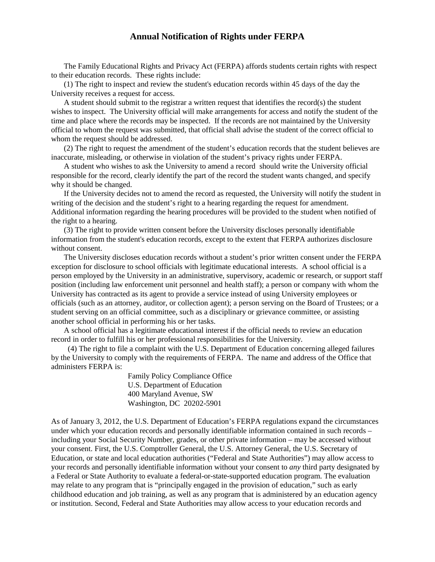## **Annual Notification of Rights under FERPA**

The Family Educational Rights and Privacy Act (FERPA) affords students certain rights with respect to their education records. These rights include:

(1) The right to inspect and review the student's education records within 45 days of the day the University receives a request for access.

A student should submit to the registrar a written request that identifies the record(s) the student wishes to inspect. The University official will make arrangements for access and notify the student of the time and place where the records may be inspected. If the records are not maintained by the University official to whom the request was submitted, that official shall advise the student of the correct official to whom the request should be addressed.

(2) The right to request the amendment of the student's education records that the student believes are inaccurate, misleading, or otherwise in violation of the student's privacy rights under FERPA.

A student who wishes to ask the University to amend a record should write the University official responsible for the record, clearly identify the part of the record the student wants changed, and specify why it should be changed.

If the University decides not to amend the record as requested, the University will notify the student in writing of the decision and the student's right to a hearing regarding the request for amendment. Additional information regarding the hearing procedures will be provided to the student when notified of the right to a hearing.

(3) The right to provide written consent before the University discloses personally identifiable information from the student's education records, except to the extent that FERPA authorizes disclosure without consent.

The University discloses education records without a student's prior written consent under the FERPA exception for disclosure to school officials with legitimate educational interests. A school official is a person employed by the University in an administrative, supervisory, academic or research, or support staff position (including law enforcement unit personnel and health staff); a person or company with whom the University has contracted as its agent to provide a service instead of using University employees or officials (such as an attorney, auditor, or collection agent); a person serving on the Board of Trustees; or a student serving on an official committee, such as a disciplinary or grievance committee, or assisting another school official in performing his or her tasks.

A school official has a legitimate educational interest if the official needs to review an education record in order to fulfill his or her professional responsibilities for the University.

 (4) The right to file a complaint with the U.S. Department of Education concerning alleged failures by the University to comply with the requirements of FERPA. The name and address of the Office that administers FERPA is:

> Family Policy Compliance Office U.S. Department of Education 400 Maryland Avenue, SW Washington, DC 20202-5901

As of January 3, 2012, the U.S. Department of Education's FERPA regulations expand the circumstances under which your education records and personally identifiable information contained in such records – including your Social Security Number, grades, or other private information – may be accessed without your consent. First, the U.S. Comptroller General, the U.S. Attorney General, the U.S. Secretary of Education, or state and local education authorities ("Federal and State Authorities") may allow access to your records and personally identifiable information without your consent to *any* third party designated by a Federal or State Authority to evaluate a federal-or-state-supported education program. The evaluation may relate to any program that is "principally engaged in the provision of education," such as early childhood education and job training, as well as any program that is administered by an education agency or institution. Second, Federal and State Authorities may allow access to your education records and